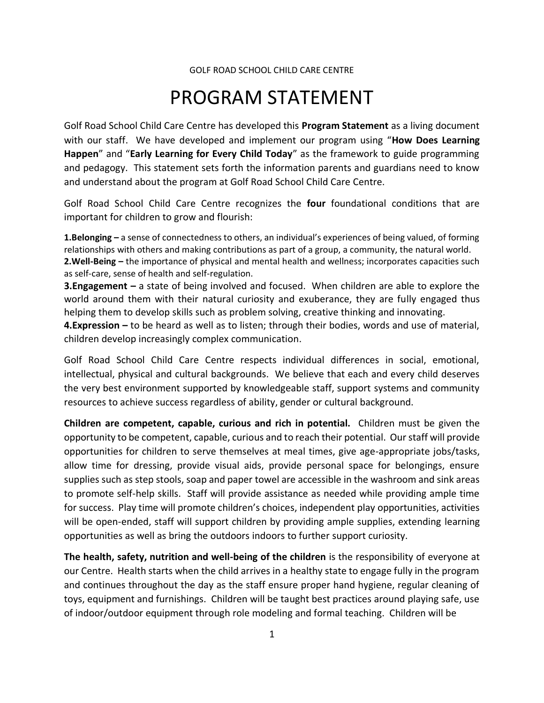## PROGRAM STATEMENT

Golf Road School Child Care Centre has developed this **Program Statement** as a living document with our staff. We have developed and implement our program using "**How Does Learning Happen**" and "**Early Learning for Every Child Today**" as the framework to guide programming and pedagogy. This statement sets forth the information parents and guardians need to know and understand about the program at Golf Road School Child Care Centre.

Golf Road School Child Care Centre recognizes the **four** foundational conditions that are important for children to grow and flourish:

**1.Belonging –** a sense of connectedness to others, an individual's experiences of being valued, of forming relationships with others and making contributions as part of a group, a community, the natural world. **2.Well-Being –** the importance of physical and mental health and wellness; incorporates capacities such as self-care, sense of health and self-regulation.

**3.Engagement –** a state of being involved and focused. When children are able to explore the world around them with their natural curiosity and exuberance, they are fully engaged thus helping them to develop skills such as problem solving, creative thinking and innovating.

**4.Expression –** to be heard as well as to listen; through their bodies, words and use of material, children develop increasingly complex communication.

Golf Road School Child Care Centre respects individual differences in social, emotional, intellectual, physical and cultural backgrounds. We believe that each and every child deserves the very best environment supported by knowledgeable staff, support systems and community resources to achieve success regardless of ability, gender or cultural background.

**Children are competent, capable, curious and rich in potential.** Children must be given the opportunity to be competent, capable, curious and to reach their potential. Our staff will provide opportunities for children to serve themselves at meal times, give age-appropriate jobs/tasks, allow time for dressing, provide visual aids, provide personal space for belongings, ensure supplies such as step stools, soap and paper towel are accessible in the washroom and sink areas to promote self-help skills. Staff will provide assistance as needed while providing ample time for success. Play time will promote children's choices, independent play opportunities, activities will be open-ended, staff will support children by providing ample supplies, extending learning opportunities as well as bring the outdoors indoors to further support curiosity.

**The health, safety, nutrition and well-being of the children** is the responsibility of everyone at our Centre. Health starts when the child arrives in a healthy state to engage fully in the program and continues throughout the day as the staff ensure proper hand hygiene, regular cleaning of toys, equipment and furnishings. Children will be taught best practices around playing safe, use of indoor/outdoor equipment through role modeling and formal teaching. Children will be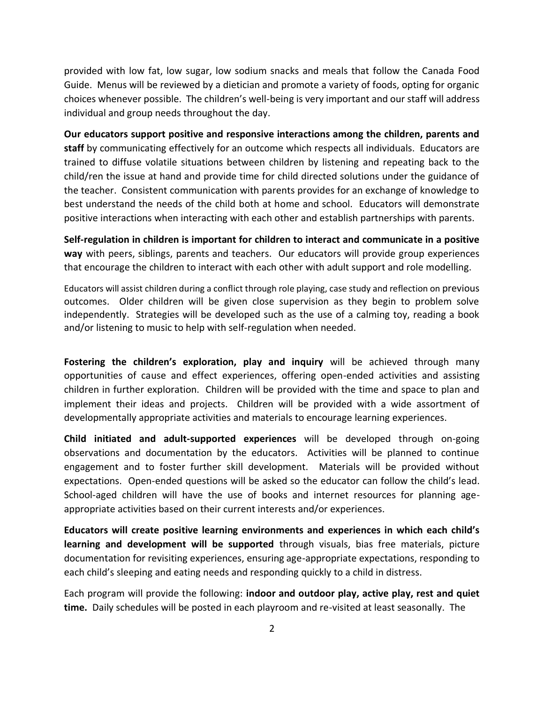provided with low fat, low sugar, low sodium snacks and meals that follow the Canada Food Guide. Menus will be reviewed by a dietician and promote a variety of foods, opting for organic choices whenever possible. The children's well-being is very important and our staff will address individual and group needs throughout the day.

**Our educators support positive and responsive interactions among the children, parents and staff** by communicating effectively for an outcome which respects all individuals. Educators are trained to diffuse volatile situations between children by listening and repeating back to the child/ren the issue at hand and provide time for child directed solutions under the guidance of the teacher. Consistent communication with parents provides for an exchange of knowledge to best understand the needs of the child both at home and school. Educators will demonstrate positive interactions when interacting with each other and establish partnerships with parents.

**Self-regulation in children is important for children to interact and communicate in a positive way** with peers, siblings, parents and teachers. Our educators will provide group experiences that encourage the children to interact with each other with adult support and role modelling.

Educators will assist children during a conflict through role playing, case study and reflection on previous outcomes. Older children will be given close supervision as they begin to problem solve independently. Strategies will be developed such as the use of a calming toy, reading a book and/or listening to music to help with self-regulation when needed.

**Fostering the children's exploration, play and inquiry** will be achieved through many opportunities of cause and effect experiences, offering open-ended activities and assisting children in further exploration. Children will be provided with the time and space to plan and implement their ideas and projects. Children will be provided with a wide assortment of developmentally appropriate activities and materials to encourage learning experiences.

**Child initiated and adult-supported experiences** will be developed through on-going observations and documentation by the educators. Activities will be planned to continue engagement and to foster further skill development. Materials will be provided without expectations. Open-ended questions will be asked so the educator can follow the child's lead. School-aged children will have the use of books and internet resources for planning ageappropriate activities based on their current interests and/or experiences.

**Educators will create positive learning environments and experiences in which each child's learning and development will be supported** through visuals, bias free materials, picture documentation for revisiting experiences, ensuring age-appropriate expectations, responding to each child's sleeping and eating needs and responding quickly to a child in distress.

Each program will provide the following: **indoor and outdoor play, active play, rest and quiet time.** Daily schedules will be posted in each playroom and re-visited at least seasonally. The